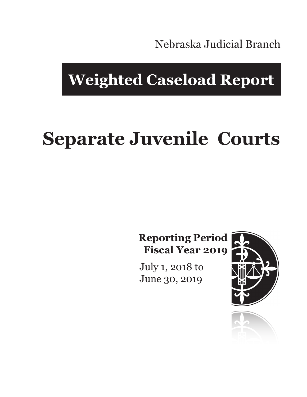Nebraska Judicial Branch

# **Weighted Caseload Report**

# **Separate Juvenile Courts**

**Reporting Period Fiscal Year 2019**

July 1, 2018 to June 30, 2019



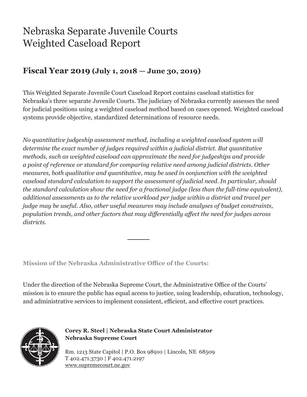## Nebraska Separate Juvenile Courts Weighted Caseload Report

### **Fiscal Year 2019 (July 1, 2018 — June 30, 2019)**

This Weighted Separate Juvenile Court Caseload Report contains caseload statistics for Nebraska's three separate Juvenile Courts. The judiciary of Nebraska currently assesses the need for judicial positions using a weighted caseload method based on cases opened. Weighted caseload systems provide objective, standardized determinations of resource needs.

*No quantitative judgeship assessment method, including a weighted caseload system will determine the exact number of judges required within a judicial district. But quantitative methods, such as weighted caseload can approximate the need for judgeships and provide a point of reference or standard for comparing relative need among judicial districts. Other measures, both qualitative and quantitative, may be used in conjunction with the weighted caseload standard calculation to support the assessment of judicial need. In particular, should the standard calculation show the need for a fractional judge (less than the full-time equivalent), additional assessments as to the relative workload per judge within a district and travel per judge may be useful. Also, other useful measures may include analyses of budget constraints, population trends, and other factors that may differentially affect the need for judges across districts.*

**Mission of the Nebraska Administrative Office of the Courts:**

Under the direction of the Nebraska Supreme Court, the Administrative Office of the Courts' mission is to ensure the public has equal access to justice, using leadership, education, technology, and administrative services to implement consistent, efficient, and effective court practices.



**Corey R. Steel | Nebraska State Court Administrator Nebraska Supreme Court**

Rm. 1213 State Capitol | P.O. Box 98910 | Lincoln, NE 68509 T 402.471.3730 | F 402.471.2197 www.supremecourt.ne.gov